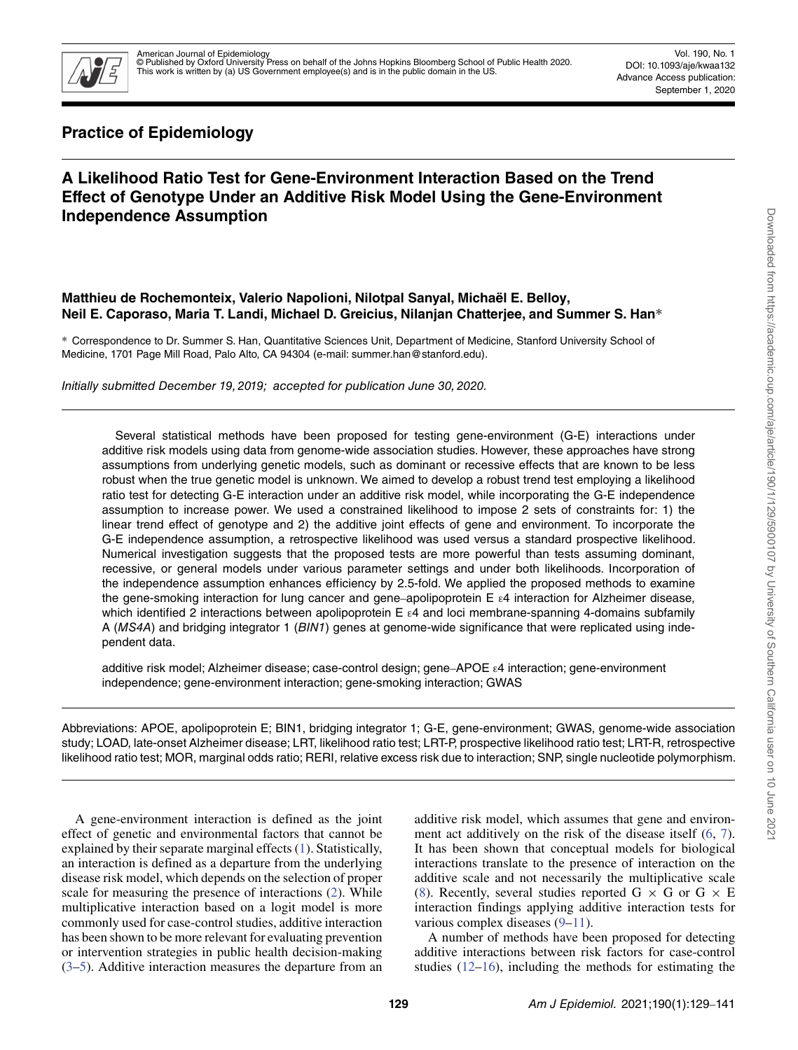

Vol. 190, No. 1 DOI: 10.1093/aje/kwaa132 Advance Access publication: September 1, 2020

# **Practice of Epidemiology**

# **A Likelihood Ratio Test for Gene-Environment Interaction Based on the Trend Effect of Genotype Under an Additive Risk Model Using the Gene-Environment Independence Assumption**

## **Matthieu de Rochemonteix, Valerio Napolioni, Nilotpal Sanyal, Michaël E. Belloy, Neil E. Caporaso, Maria T. Landi, Michael D. Greicius, Nilanjan Chatterjee, and Summer S. Han**∗

∗ Correspondence to Dr. Summer S. Han, Quantitative Sciences Unit, Department of Medicine, Stanford University School of Medicine, 1701 Page Mill Road, Palo Alto, CA 94304 (e-mail: summer.han@stanford.edu).

Initially submitted December 19, 2019; accepted for publication June 30, 2020.

Several statistical methods have been proposed for testing gene-environment (G-E) interactions under additive risk models using data from genome-wide association studies. However, these approaches have strong assumptions from underlying genetic models, such as dominant or recessive effects that are known to be less robust when the true genetic model is unknown. We aimed to develop a robust trend test employing a likelihood ratio test for detecting G-E interaction under an additive risk model, while incorporating the G-E independence assumption to increase power. We used a constrained likelihood to impose 2 sets of constraints for: 1) the linear trend effect of genotype and 2) the additive joint effects of gene and environment. To incorporate the G-E independence assumption, a retrospective likelihood was used versus a standard prospective likelihood. Numerical investigation suggests that the proposed tests are more powerful than tests assuming dominant, recessive, or general models under various parameter settings and under both likelihoods. Incorporation of the independence assumption enhances efficiency by 2.5-fold. We applied the proposed methods to examine the gene-smoking interaction for lung cancer and gene–apolipoprotein E ε4 interaction for Alzheimer disease, which identified 2 interactions between apolipoprotein E ε4 and loci membrane-spanning 4-domains subfamily A (MS4A) and bridging integrator 1 (BIN1) genes at genome-wide significance that were replicated using independent data.

additive risk model; Alzheimer disease; case-control design; gene–APOE ε4 interaction; gene-environment independence; gene-environment interaction; gene-smoking interaction; GWAS

Abbreviations: APOE, apolipoprotein E; BIN1, bridging integrator 1; G-E, gene-environment; GWAS, genome-wide association study; LOAD, late-onset Alzheimer disease; LRT, likelihood ratio test; LRT-P, prospective likelihood ratio test; LRT-R, retrospective likelihood ratio test; MOR, marginal odds ratio; RERI, relative excess risk due to interaction; SNP, single nucleotide polymorphism.

A gene-environment interaction is defined as the joint effect of genetic and environmental factors that cannot be explained by their separate marginal effects [\(1\)](#page-11-0). Statistically, an interaction is defined as a departure from the underlying disease risk model, which depends on the selection of proper scale for measuring the presence of interactions [\(2\)](#page-11-1). While multiplicative interaction based on a logit model is more commonly used for case-control studies, additive interaction has been shown to be more relevant for evaluating prevention or intervention strategies in public health decision-making [\(3](#page-11-2)[–5\)](#page-11-3). Additive interaction measures the departure from an additive risk model, which assumes that gene and environment act additively on the risk of the disease itself  $(6, 7)$  $(6, 7)$  $(6, 7)$ . It has been shown that conceptual models for biological interactions translate to the presence of interaction on the additive scale and not necessarily the multiplicative scale [\(8\)](#page-11-6). Recently, several studies reported  $G \times G$  or  $G \times E$ interaction findings applying additive interaction tests for various complex diseases [\(9–](#page-11-7)[11\)](#page-11-8).

A number of methods have been proposed for detecting additive interactions between risk factors for case-control studies [\(12–](#page-11-9)[16\)](#page-11-10), including the methods for estimating the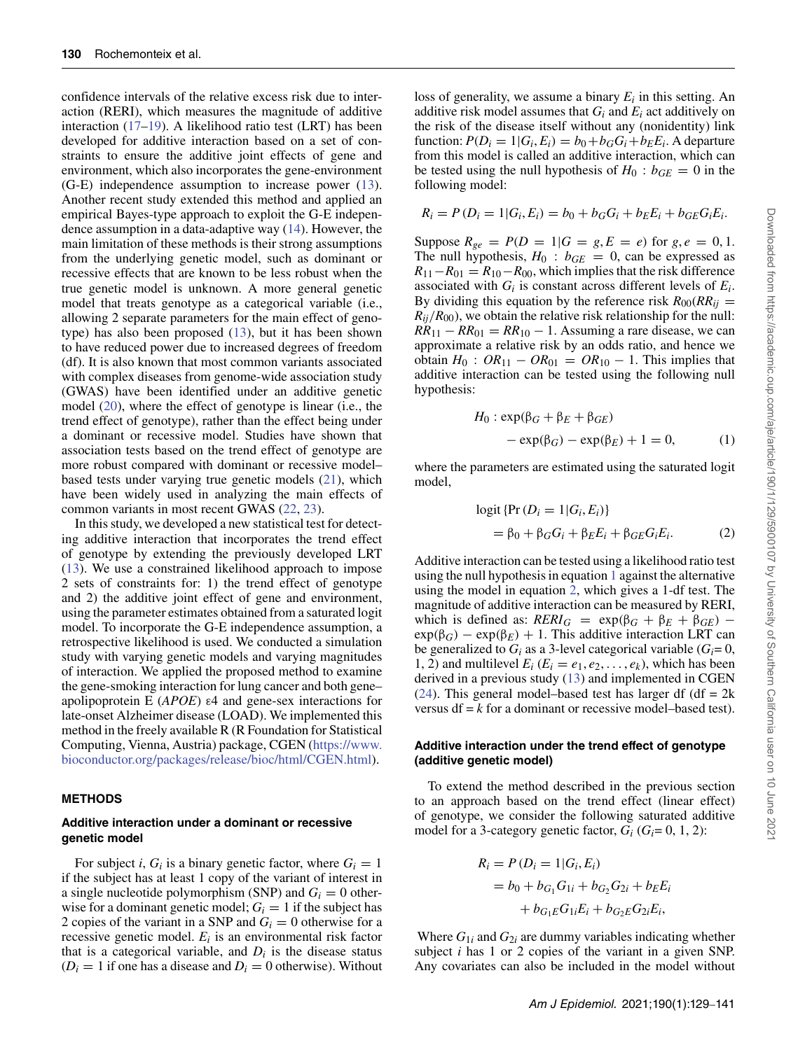confidence intervals of the relative excess risk due to interaction (RERI), which measures the magnitude of additive interaction [\(17–](#page-11-11)[19\)](#page-11-12). A likelihood ratio test (LRT) has been developed for additive interaction based on a set of constraints to ensure the additive joint effects of gene and environment, which also incorporates the gene-environment (G-E) independence assumption to increase power [\(13\)](#page-11-13). Another recent study extended this method and applied an empirical Bayes-type approach to exploit the G-E independence assumption in a data-adaptive way [\(14\)](#page-11-14). However, the main limitation of these methods is their strong assumptions from the underlying genetic model, such as dominant or recessive effects that are known to be less robust when the true genetic model is unknown. A more general genetic model that treats genotype as a categorical variable (i.e., allowing 2 separate parameters for the main effect of genotype) has also been proposed [\(13\)](#page-11-13), but it has been shown to have reduced power due to increased degrees of freedom (df). It is also known that most common variants associated with complex diseases from genome-wide association study (GWAS) have been identified under an additive genetic model [\(20\)](#page-11-15), where the effect of genotype is linear (i.e., the trend effect of genotype), rather than the effect being under a dominant or recessive model. Studies have shown that association tests based on the trend effect of genotype are more robust compared with dominant or recessive model– based tests under varying true genetic models [\(21\)](#page-11-16), which have been widely used in analyzing the main effects of common variants in most recent GWAS [\(22,](#page-11-17) [23\)](#page-11-18).

In this study, we developed a new statistical test for detecting additive interaction that incorporates the trend effect of genotype by extending the previously developed LRT [\(13\)](#page-11-13). We use a constrained likelihood approach to impose 2 sets of constraints for: 1) the trend effect of genotype and 2) the additive joint effect of gene and environment, using the parameter estimates obtained from a saturated logit model. To incorporate the G-E independence assumption, a retrospective likelihood is used. We conducted a simulation study with varying genetic models and varying magnitudes of interaction. We applied the proposed method to examine the gene-smoking interaction for lung cancer and both gene– apolipoprotein E (*APOE*) ε4 and gene-sex interactions for late-onset Alzheimer disease (LOAD). We implemented this method in the freely available R (R Foundation for Statistical Computing, Vienna, Austria) package, CGEN [\(https://www.](https://www.bioconductor.org/packages/release/bioc/html/CGEN.html) [bioconductor.org/packages/release/bioc/html/CGEN.html\)](https://www.bioconductor.org/packages/release/bioc/html/CGEN.html).

## **METHODS**

#### **Additive interaction under a dominant or recessive genetic model**

For subject *i*,  $G_i$  is a binary genetic factor, where  $G_i = 1$ if the subject has at least 1 copy of the variant of interest in a single nucleotide polymorphism (SNP) and  $G_i = 0$  otherwise for a dominant genetic model;  $G_i = 1$  if the subject has 2 copies of the variant in a SNP and  $G_i = 0$  otherwise for a recessive genetic model. *Ei* is an environmental risk factor that is a categorical variable, and  $D_i$  is the disease status  $(D<sub>i</sub> = 1$  if one has a disease and  $D<sub>i</sub> = 0$  otherwise). Without loss of generality, we assume a binary  $E_i$  in this setting. An additive risk model assumes that *Gi* and *Ei* act additively on the risk of the disease itself without any (nonidentity) link function:  $P(D_i = 1 | G_i, E_i) = b_0 + b_G G_i + b_E E_i$ . A departure from this model is called an additive interaction, which can be tested using the null hypothesis of  $H_0$ :  $b_{GE} = 0$  in the following model:

$$
R_i = P(D_i = 1 | G_i, E_i) = b_0 + b_G G_i + b_E E_i + b_{GE} G_i E_i.
$$

Suppose  $R_{ge} = P(D = 1|G = g, E = e)$  for  $g, e = 0, 1$ . The null hypothesis,  $H_0$ :  $b_{GE}$  = 0, can be expressed as  $R_{11}-R_{01} = R_{10}-R_{00}$ , which implies that the risk difference associated with  $G_i$  is constant across different levels of  $E_i$ . By dividing this equation by the reference risk  $R_{00}(RR_{ij} =$  $R_{ij}/R_{00}$ , we obtain the relative risk relationship for the null:  $RR_{11} - RR_{01} = RR_{10} - 1$ . Assuming a rare disease, we can approximate a relative risk by an odds ratio, and hence we obtain  $H_0$  :  $OR_{11} - OR_{01} = OR_{10} - 1$ . This implies that additive interaction can be tested using the following null hypothesis:

<span id="page-1-0"></span>
$$
H_0: \exp(\beta_G + \beta_E + \beta_{GE})
$$
  
- 
$$
\exp(\beta_G) - \exp(\beta_E) + 1 = 0,
$$
 (1)

where the parameters are estimated using the saturated logit model,

<span id="page-1-1"></span>
$$
logit {Pr (Di = 1|Gi, Ei)}= \beta_0 + \beta_G Gi + \beta_{EE} i + \beta_{GE} Gi Ei.
$$
 (2)

Additive interaction can be tested using a likelihood ratio test using the null hypothesis in equation [1](#page-1-0) against the alternative using the model in equation [2,](#page-1-1) which gives a 1-df test. The magnitude of additive interaction can be measured by RERI, which is defined as:  $RERI_G = \exp(\beta_G + \beta_E + \beta_{GE})$  –  $\exp(\beta_G) - \exp(\beta_E) + 1$ . This additive interaction LRT can be generalized to  $G_i$  as a 3-level categorical variable  $(G_i = 0,$ 1, 2) and multilevel  $E_i$  ( $E_i = e_1, e_2, \ldots, e_k$ ), which has been derived in a previous study [\(13\)](#page-11-13) and implemented in CGEN  $(24)$ . This general model–based test has larger df (df = 2k) versus  $df = k$  for a dominant or recessive model–based test).

#### **Additive interaction under the trend effect of genotype (additive genetic model)**

To extend the method described in the previous section to an approach based on the trend effect (linear effect) of genotype, we consider the following saturated additive model for a 3-category genetic factor,  $G_i$  ( $G_i = 0, 1, 2$ ):

$$
R_i = P(D_i = 1|G_i, E_i)
$$
  
= b<sub>0</sub> + b<sub>G<sub>1</sub></sub>G<sub>1i</sub> + b<sub>G<sub>2</sub></sub>G<sub>2i</sub> + b<sub>E</sub>E<sub>i</sub>  
+ b<sub>G<sub>1</sub>E</sub>G<sub>1i</sub>E<sub>i</sub> + b<sub>G<sub>2</sub>E</sub>G<sub>2i</sub>E<sub>i</sub>,

Where  $G_{1i}$  and  $G_{2i}$  are dummy variables indicating whether subject *i* has 1 or 2 copies of the variant in a given SNP. Any covariates can also be included in the model without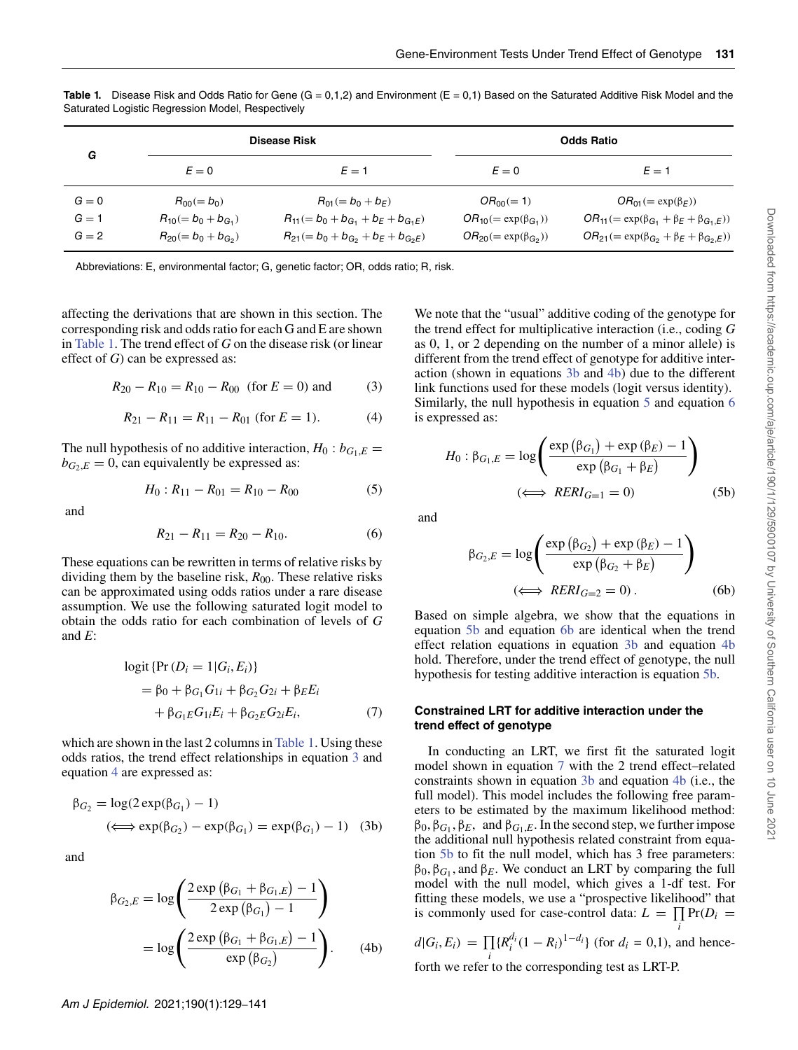<span id="page-2-0"></span>**Table 1.** Disease Risk and Odds Ratio for Gene  $(G = 0,1,2)$  and Environment  $(E = 0,1)$  Based on the Saturated Additive Risk Model and the Saturated Logistic Regression Model, Respectively

| G       |                            | <b>Disease Risk</b>                         |                                 | <b>Odds Ratio</b>                                         |
|---------|----------------------------|---------------------------------------------|---------------------------------|-----------------------------------------------------------|
|         | $E=0$                      | $E=1$                                       | $E=0$                           | $E=1$                                                     |
| $G=0$   | $R_{00} (= b_0)$           | $R_{01} (= b_0 + b_F)$                      | $OR_{00} (= 1)$                 | $OR_{01} (= \exp(\beta_F))$                               |
| $G = 1$ | $R_{10} (= b_0 + b_{G_1})$ | $R_{11} (= b_0 + b_{G_1} + b_E + b_{G_1E})$ | $OR_{10} (= \exp(\beta_{G_1}))$ | $OR_{11} (= \exp(\beta_{G_1} + \beta_E + \beta_{G_1,E}))$ |
| $G = 2$ | $R_{20} (= b_0 + b_{G_2})$ | $R_{21} (= b_0 + b_{G_2} + b_E + b_{G_2E})$ | $OR_{20} (= \exp(\beta_{G_2}))$ | $OR_{21} (= \exp(\beta_{G_2} + \beta_E + \beta_{G_2,E}))$ |

Abbreviations: E, environmental factor; G, genetic factor; OR, odds ratio; R, risk.

affecting the derivations that are shown in this section. The corresponding risk and odds ratio for each G and E are shown in [Table 1.](#page-2-0) The trend effect of *G* on the disease risk (or linear effect of *G*) can be expressed as:

<span id="page-2-1"></span>
$$
R_{20} - R_{10} = R_{10} - R_{00} \text{ (for } E = 0 \text{) and } (3)
$$

$$
R_{21} - R_{11} = R_{11} - R_{01} \text{ (for } E = 1). \tag{4}
$$

<span id="page-2-2"></span>The null hypothesis of no additive interaction,  $H_0: b_{G_1,E}$  $b_{G_2,E} = 0$ , can equivalently be expressed as:

$$
H_0: R_{11} - R_{01} = R_{10} - R_{00} \tag{5}
$$

<span id="page-2-6"></span>and

$$
R_{21} - R_{11} = R_{20} - R_{10}.\tag{6}
$$

These equations can be rewritten in terms of relative risks by dividing them by the baseline risk, *R*00. These relative risks can be approximated using odds ratios under a rare disease assumption. We use the following saturated logit model to obtain the odds ratio for each combination of levels of *G* and *E*:

<span id="page-2-9"></span>
$$
logit {Pr (Di = 1 | Gi, Ei)}= β0 + βG1 G1i + βG2 G2i + βEEi+ βG1E G1iEi + βG2E G2iEi, (7)
$$

which are shown in the last 2 columns in [Table 1.](#page-2-0) Using these odds ratios, the trend effect relationships in equation [3](#page-2-1) and equation [4](#page-2-2) are expressed as:

$$
\beta_{G_2} = \log(2 \exp(\beta_{G_1}) - 1)
$$
  

$$
(\iff \exp(\beta_{G_2}) - \exp(\beta_{G_1}) = \exp(\beta_{G_1}) - 1)
$$
 (3b)

<span id="page-2-4"></span>and

<span id="page-2-3"></span>
$$
\beta_{G_2,E} = \log \left( \frac{2 \exp \left( \beta_{G_1} + \beta_{G_1,E} \right) - 1}{2 \exp \left( \beta_{G_1} \right) - 1} \right)
$$

$$
= \log \left( \frac{2 \exp \left( \beta_{G_1} + \beta_{G_1,E} \right) - 1}{\exp \left( \beta_{G_2} \right)} \right). \tag{4b}
$$

We note that the "usual" additive coding of the genotype for the trend effect for multiplicative interaction (i.e., coding *G* as 0, 1, or 2 depending on the number of a minor allele) is different from the trend effect of genotype for additive interaction (shown in equations [3b](#page-2-3) and [4b\)](#page-2-4) due to the different link functions used for these models (logit versus identity). Similarly, the null hypothesis in equation [5](#page-2-5) and equation [6](#page-2-6) is expressed as:

<span id="page-2-7"></span>
$$
H_0: \beta_{G_1,E} = \log \left( \frac{\exp (\beta_{G_1}) + \exp (\beta_E) - 1}{\exp (\beta_{G_1} + \beta_E)} \right)
$$
  

$$
(\iff RERI_{G=1} = 0)
$$
 (5b)

<span id="page-2-8"></span><span id="page-2-5"></span>and

$$
\beta_{G_2,E} = \log \left( \frac{\exp (\beta_{G_2}) + \exp (\beta_E) - 1}{\exp (\beta_{G_2} + \beta_E)} \right)
$$
  

$$
(\iff RERI_{G=2} = 0).
$$
 (6b)

Based on simple algebra, we show that the equations in equation [5b](#page-2-7) and equation [6b](#page-2-8) are identical when the trend effect relation equations in equation [3b](#page-2-3) and equation [4b](#page-2-4) hold. Therefore, under the trend effect of genotype, the null hypothesis for testing additive interaction is equation [5b.](#page-2-7)

#### **Constrained LRT for additive interaction under the trend effect of genotype**

In conducting an LRT, we first fit the saturated logit model shown in equation [7](#page-2-9) with the 2 trend effect–related constraints shown in equation [3b](#page-2-3) and equation [4b](#page-2-4) (i.e., the full model). This model includes the following free parameters to be estimated by the maximum likelihood method: β0, β*G*<sup>1</sup> , β*E*, and β*G*1,*E*. In the second step, we further impose the additional null hypothesis related constraint from equation [5b](#page-2-7) to fit the null model, which has 3 free parameters:  $\beta_0$ ,  $\beta_{G_1}$ , and  $\beta_E$ . We conduct an LRT by comparing the full model with the null model, which gives a 1-df test. For fitting these models, we use a "prospective likelihood" that is commonly used for case-control data:  $L = \prod \Pr(D_i =$ *i*

$$
d|G_i, E_i) = \prod_i \{R_i^{d_i} (1 - R_i)^{1 - d_i}\} \text{ (for } d_i = 0, 1\text{), and hence-}
$$
  
for the average normaling test as I PT P

forth we refer to the corresponding test as LRT-P.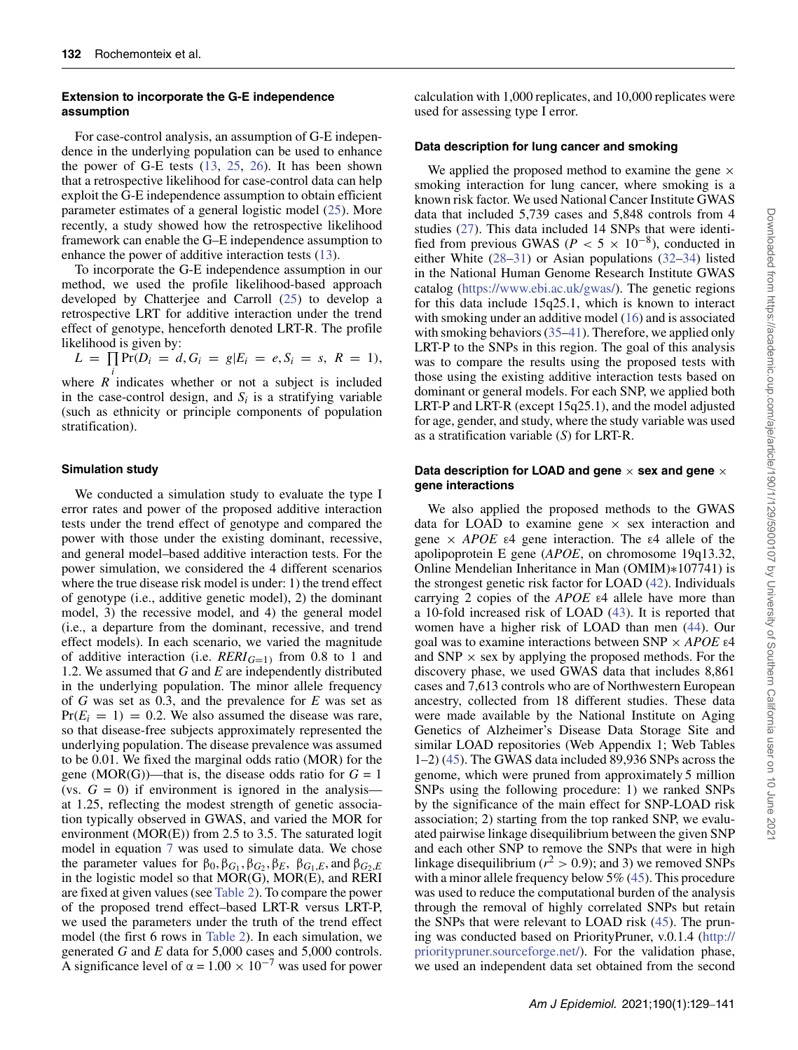### **Extension to incorporate the G-E independence assumption**

For case-control analysis, an assumption of G-E independence in the underlying population can be used to enhance the power of G-E tests [\(13,](#page-11-13) [25,](#page-11-20) [26\)](#page-11-21). It has been shown that a retrospective likelihood for case-control data can help exploit the G-E independence assumption to obtain efficient parameter estimates of a general logistic model [\(25\)](#page-11-20). More recently, a study showed how the retrospective likelihood framework can enable the G–E independence assumption to enhance the power of additive interaction tests [\(13\)](#page-11-13).

To incorporate the G-E independence assumption in our method, we used the profile likelihood-based approach developed by Chatterjee and Carroll [\(25\)](#page-11-20) to develop a retrospective LRT for additive interaction under the trend effect of genotype, henceforth denoted LRT-R. The profile likelihood is given by:

$$
L = \prod_i \Pr(D_i = d, G_i = g | E_i = e, S_i = s, R = 1),
$$

where *R* indicates whether or not a subject is included in the case-control design, and  $S_i$  is a stratifying variable (such as ethnicity or principle components of population stratification).

## **Simulation study**

We conducted a simulation study to evaluate the type I error rates and power of the proposed additive interaction tests under the trend effect of genotype and compared the power with those under the existing dominant, recessive, and general model–based additive interaction tests. For the power simulation, we considered the 4 different scenarios where the true disease risk model is under: 1) the trend effect of genotype (i.e., additive genetic model), 2) the dominant model, 3) the recessive model, and 4) the general model (i.e., a departure from the dominant, recessive, and trend effect models). In each scenario, we varied the magnitude of additive interaction (i.e.  $RERI_{G=1}$ ) from 0.8 to 1 and 1.2. We assumed that *G* and *E* are independently distributed in the underlying population. The minor allele frequency of *G* was set as 0.3, and the prevalence for *E* was set as  $Pr(E_i = 1) = 0.2$ . We also assumed the disease was rare, so that disease-free subjects approximately represented the underlying population. The disease prevalence was assumed to be 0.01. We fixed the marginal odds ratio (MOR) for the gene (MOR(G))—that is, the disease odds ratio for  $G = 1$ (vs.  $G = 0$ ) if environment is ignored in the analysis at 1.25, reflecting the modest strength of genetic association typically observed in GWAS, and varied the MOR for environment (MOR(E)) from 2.5 to 3.5. The saturated logit model in equation [7](#page-2-9) was used to simulate data. We chose the parameter values for  $\beta_0$ ,  $\beta_{G_1}$ ,  $\beta_{G_2}$ ,  $\beta_E$ ,  $\beta_{G_1,E}$ , and  $\beta_{G_2,E}$ in the logistic model so that MOR(G), MOR(E), and RERI are fixed at given values (see [Table 2\)](#page-4-0). To compare the power of the proposed trend effect–based LRT-R versus LRT-P, we used the parameters under the truth of the trend effect model (the first 6 rows in [Table 2\)](#page-4-0). In each simulation, we generated *G* and *E* data for 5,000 cases and 5,000 controls. A significance level of  $\alpha = 1.00 \times 10^{-7}$  was used for power

calculation with 1,000 replicates, and 10,000 replicates were used for assessing type I error.

#### **Data description for lung cancer and smoking**

We applied the proposed method to examine the gene  $\times$ smoking interaction for lung cancer, where smoking is a known risk factor. We used National Cancer Institute GWAS data that included 5,739 cases and 5,848 controls from 4 studies [\(27\)](#page-12-0). This data included 14 SNPs that were identified from previous GWAS ( $P < 5 \times 10^{-8}$ ), conducted in either White [\(28](#page-12-1)[–31\)](#page-12-2) or Asian populations [\(32](#page-12-3)[–34\)](#page-12-4) listed in the National Human Genome Research Institute GWAS catalog [\(https://www.ebi.ac.uk/gwas/\)](https://www.ebi.ac.uk/gwas/). The genetic regions for this data include 15q25.1, which is known to interact with smoking under an additive model [\(16\)](#page-11-10) and is associated with smoking behaviors [\(35](#page-12-5)[–41\)](#page-12-6). Therefore, we applied only LRT-P to the SNPs in this region. The goal of this analysis was to compare the results using the proposed tests with those using the existing additive interaction tests based on dominant or general models. For each SNP, we applied both LRT-P and LRT-R (except 15q25.1), and the model adjusted for age, gender, and study, where the study variable was used as a stratification variable (*S*) for LRT-R.

#### Data description for LOAD and gene  $\times$  sex and gene  $\times$ **gene interactions**

We also applied the proposed methods to the GWAS data for LOAD to examine gene  $\times$  sex interaction and gene  $\times$  *APOE*  $\varepsilon$ 4 gene interaction. The  $\varepsilon$ 4 allele of the apolipoprotein E gene (*APOE*, on chromosome 19q13.32, Online Mendelian Inheritance in Man (OMIM)∗107741) is the strongest genetic risk factor for LOAD [\(42\)](#page-12-7). Individuals carrying 2 copies of the *APOE* ε4 allele have more than a 10-fold increased risk of LOAD [\(43\)](#page-12-8). It is reported that women have a higher risk of LOAD than men [\(44\)](#page-12-9). Our goal was to examine interactions between SNP × *APOE* ε4 and  $SNP \times$  sex by applying the proposed methods. For the discovery phase, we used GWAS data that includes 8,861 cases and 7,613 controls who are of Northwestern European ancestry, collected from 18 different studies. These data were made available by the National Institute on Aging Genetics of Alzheimer's Disease Data Storage Site and similar LOAD repositories (Web Appendix 1; Web Tables 1–2) [\(45\)](#page-12-10). The GWAS data included 89,936 SNPs across the genome, which were pruned from approximately 5 million SNPs using the following procedure: 1) we ranked SNPs by the significance of the main effect for SNP-LOAD risk association; 2) starting from the top ranked SNP, we evaluated pairwise linkage disequilibrium between the given SNP and each other SNP to remove the SNPs that were in high linkage disequilibrium ( $r^2 > 0.9$ ); and 3) we removed SNPs with a minor allele frequency below 5% [\(45\)](#page-12-10). This procedure was used to reduce the computational burden of the analysis through the removal of highly correlated SNPs but retain the SNPs that were relevant to LOAD risk [\(45\)](#page-12-10). The pruning was conducted based on PriorityPruner, v.0.1.4 [\(http://](http://prioritypruner.sourceforge.net/) [prioritypruner.sourceforge.net/\)](http://prioritypruner.sourceforge.net/). For the validation phase, we used an independent data set obtained from the second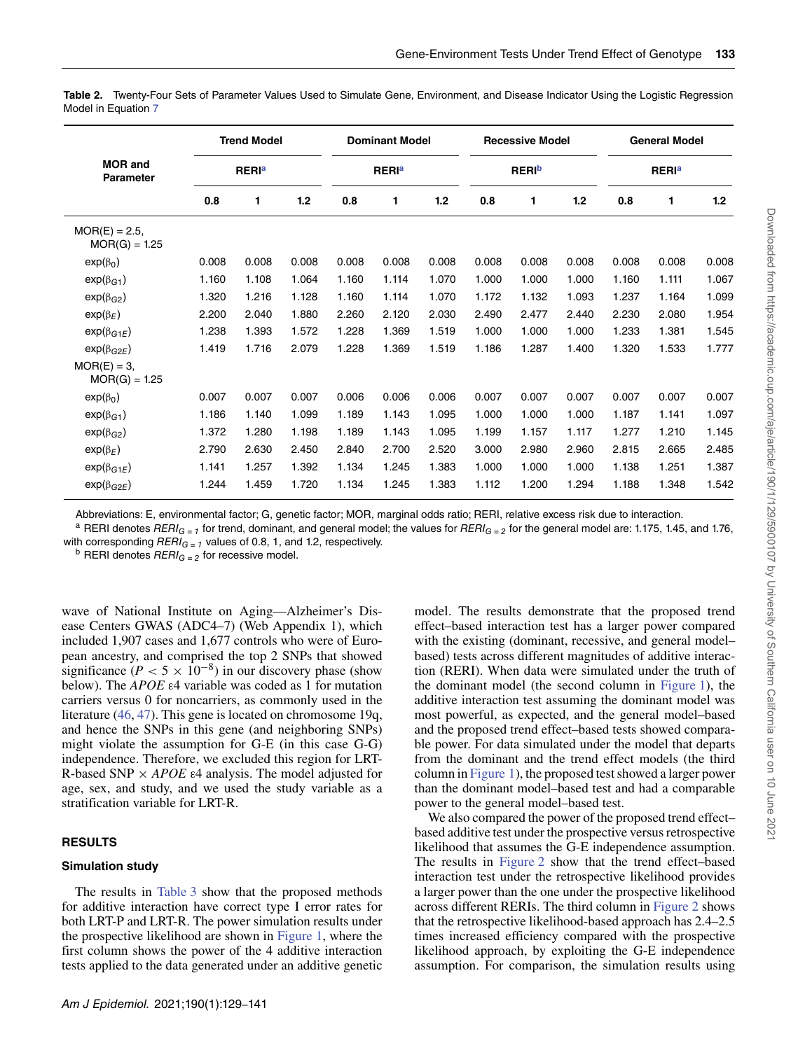|                                     |       | <b>Trend Model</b>      |       |       | <b>Dominant Model</b>   |       |       | <b>Recessive Model</b> |       |       | <b>General Model</b>    |       |
|-------------------------------------|-------|-------------------------|-------|-------|-------------------------|-------|-------|------------------------|-------|-------|-------------------------|-------|
| <b>MOR and</b><br><b>Parameter</b>  |       | <b>RERI<sup>a</sup></b> |       |       | <b>RERI<sup>a</sup></b> |       |       | <b>RERI</b> b          |       |       | <b>RERI<sup>a</sup></b> |       |
|                                     | 0.8   | 1                       | 1.2   | 0.8   | 1                       | 1.2   | 0.8   | 1                      | 1.2   | 0.8   | 1                       | 1.2   |
| $MOR(E) = 2.5$ ,<br>$MOR(G) = 1.25$ |       |                         |       |       |                         |       |       |                        |       |       |                         |       |
| $exp(\beta_0)$                      | 0.008 | 0.008                   | 0.008 | 0.008 | 0.008                   | 0.008 | 0.008 | 0.008                  | 0.008 | 0.008 | 0.008                   | 0.008 |
| $exp(\beta_{G1})$                   | 1.160 | 1.108                   | 1.064 | 1.160 | 1.114                   | 1.070 | 1.000 | 1.000                  | 1.000 | 1.160 | 1.111                   | 1.067 |
| $exp(\beta_{G2})$                   | 1.320 | 1.216                   | 1.128 | 1.160 | 1.114                   | 1.070 | 1.172 | 1.132                  | 1.093 | 1.237 | 1.164                   | 1.099 |
| $exp(\beta_E)$                      | 2.200 | 2.040                   | 1.880 | 2.260 | 2.120                   | 2.030 | 2.490 | 2.477                  | 2.440 | 2.230 | 2.080                   | 1.954 |
| $exp(\beta_{G1E})$                  | 1.238 | 1.393                   | 1.572 | 1.228 | 1.369                   | 1.519 | 1.000 | 1.000                  | 1.000 | 1.233 | 1.381                   | 1.545 |
| $exp(\beta_{G2E})$                  | 1.419 | 1.716                   | 2.079 | 1.228 | 1.369                   | 1.519 | 1.186 | 1.287                  | 1.400 | 1.320 | 1.533                   | 1.777 |
| $MOR(E) = 3$ ,<br>$MOR(G) = 1.25$   |       |                         |       |       |                         |       |       |                        |       |       |                         |       |
| $exp(\beta_0)$                      | 0.007 | 0.007                   | 0.007 | 0.006 | 0.006                   | 0.006 | 0.007 | 0.007                  | 0.007 | 0.007 | 0.007                   | 0.007 |
| $exp(\beta_{G1})$                   | 1.186 | 1.140                   | 1.099 | 1.189 | 1.143                   | 1.095 | 1.000 | 1.000                  | 1.000 | 1.187 | 1.141                   | 1.097 |
| $exp(\beta_{G2})$                   | 1.372 | 1.280                   | 1.198 | 1.189 | 1.143                   | 1.095 | 1.199 | 1.157                  | 1.117 | 1.277 | 1.210                   | 1.145 |
| $exp(\beta_E)$                      | 2.790 | 2.630                   | 2.450 | 2.840 | 2.700                   | 2.520 | 3.000 | 2.980                  | 2.960 | 2.815 | 2.665                   | 2.485 |
| $exp(\beta_{G1E})$                  | 1.141 | 1.257                   | 1.392 | 1.134 | 1.245                   | 1.383 | 1.000 | 1.000                  | 1.000 | 1.138 | 1.251                   | 1.387 |
| $exp(\beta_{G2E})$                  | 1.244 | 1.459                   | 1.720 | 1.134 | 1.245                   | 1.383 | 1.112 | 1.200                  | 1.294 | 1.188 | 1.348                   | 1.542 |

<span id="page-4-0"></span>**Table 2.** Twenty-Four Sets of Parameter Values Used to Simulate Gene, Environment, and Disease Indicator Using the Logistic Regression Model in Equation [7](#page-2-9)

Abbreviations: E, environmental factor; G, genetic factor; MOR, marginal odds ratio; RERI, relative excess risk due to interaction.

<sup>a</sup> RERI denotes RERI<sub>G=1</sub> for trend, dominant, and general model; the values for RERI<sub>G=2</sub> for the general model are: 1.175, 1.45, and 1.76, with corresponding  $RERI_{G=1}$  values of 0.8, 1, and 1.2, respectively.<br><sup>b</sup> RERI denotes  $RERI_{G=2}$  for recessive model.

wave of National Institute on Aging—Alzheimer's Disease Centers GWAS (ADC4–7) (Web Appendix 1), which included 1,907 cases and 1,677 controls who were of European ancestry, and comprised the top 2 SNPs that showed significance  $(P < 5 \times 10^{-8})$  in our discovery phase (show below). The *APOE* ε4 variable was coded as 1 for mutation carriers versus 0 for noncarriers, as commonly used in the literature [\(46,](#page-12-11) [47\)](#page-12-12). This gene is located on chromosome 19q, and hence the SNPs in this gene (and neighboring SNPs) might violate the assumption for G-E (in this case G-G) independence. Therefore, we excluded this region for LRT-R-based SNP  $\times$  *APOE* ε4 analysis. The model adjusted for age, sex, and study, and we used the study variable as a stratification variable for LRT-R.

## **RESULTS**

## **Simulation study**

The results in [Table 3](#page-5-0) show that the proposed methods for additive interaction have correct type I error rates for both LRT-P and LRT-R. The power simulation results under the prospective likelihood are shown in [Figure 1,](#page-6-0) where the first column shows the power of the 4 additive interaction tests applied to the data generated under an additive genetic

model. The results demonstrate that the proposed trend effect–based interaction test has a larger power compared with the existing (dominant, recessive, and general model– based) tests across different magnitudes of additive interaction (RERI). When data were simulated under the truth of the dominant model (the second column in [Figure 1\)](#page-6-0), the additive interaction test assuming the dominant model was most powerful, as expected, and the general model–based and the proposed trend effect–based tests showed comparable power. For data simulated under the model that departs from the dominant and the trend effect models (the third column in [Figure 1\)](#page-6-0), the proposed test showed a larger power than the dominant model–based test and had a comparable power to the general model–based test.

We also compared the power of the proposed trend effect– based additive test under the prospective versus retrospective likelihood that assumes the G-E independence assumption. The results in [Figure 2](#page-7-0) show that the trend effect–based interaction test under the retrospective likelihood provides a larger power than the one under the prospective likelihood across different RERIs. The third column in [Figure 2](#page-7-0) shows that the retrospective likelihood-based approach has 2.4–2.5 times increased efficiency compared with the prospective likelihood approach, by exploiting the G-E independence assumption. For comparison, the simulation results using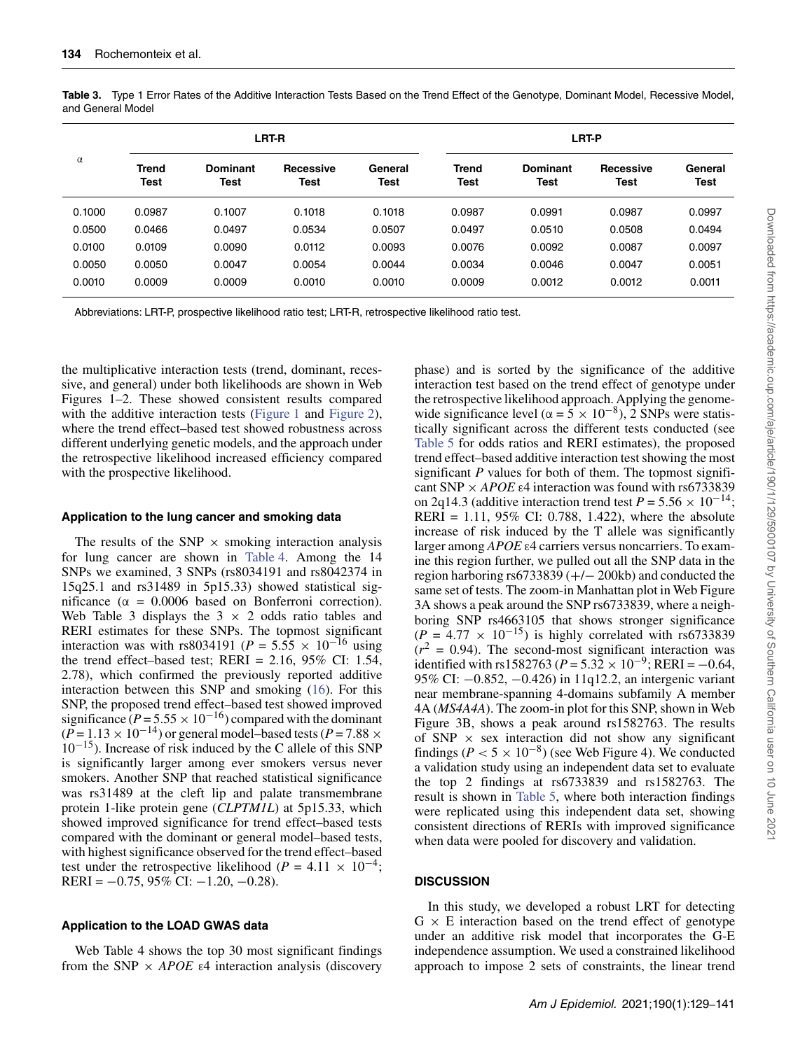|          |                      |                         | LRT-R                    |                 |                      |                  | LRT-P                    |                 |
|----------|----------------------|-------------------------|--------------------------|-----------------|----------------------|------------------|--------------------------|-----------------|
| $\alpha$ | Trend<br><b>Test</b> | <b>Dominant</b><br>Test | <b>Recessive</b><br>Test | General<br>Test | <b>Trend</b><br>Test | Dominant<br>Test | Recessive<br><b>Test</b> | General<br>Test |
| 0.1000   | 0.0987               | 0.1007                  | 0.1018                   | 0.1018          | 0.0987               | 0.0991           | 0.0987                   | 0.0997          |
| 0.0500   | 0.0466               | 0.0497                  | 0.0534                   | 0.0507          | 0.0497               | 0.0510           | 0.0508                   | 0.0494          |
| 0.0100   | 0.0109               | 0.0090                  | 0.0112                   | 0.0093          | 0.0076               | 0.0092           | 0.0087                   | 0.0097          |
| 0.0050   | 0.0050               | 0.0047                  | 0.0054                   | 0.0044          | 0.0034               | 0.0046           | 0.0047                   | 0.0051          |
| 0.0010   | 0.0009               | 0.0009                  | 0.0010                   | 0.0010          | 0.0009               | 0.0012           | 0.0012                   | 0.0011          |

<span id="page-5-0"></span>**Table 3.** Type 1 Error Rates of the Additive Interaction Tests Based on the Trend Effect of the Genotype, Dominant Model, Recessive Model, and General Model

Abbreviations: LRT-P, prospective likelihood ratio test; LRT-R, retrospective likelihood ratio test.

the multiplicative interaction tests (trend, dominant, recessive, and general) under both likelihoods are shown in Web Figures 1–2. These showed consistent results compared with the additive interaction tests [\(Figure 1](#page-6-0) and [Figure 2\)](#page-7-0), where the trend effect–based test showed robustness across different underlying genetic models, and the approach under the retrospective likelihood increased efficiency compared with the prospective likelihood.

#### **Application to the lung cancer and smoking data**

The results of the SNP  $\times$  smoking interaction analysis for lung cancer are shown in [Table 4.](#page-8-0) Among the 14 SNPs we examined, 3 SNPs (rs8034191 and rs8042374 in 15q25.1 and rs31489 in 5p15.33) showed statistical significance ( $\alpha$  = 0.0006 based on Bonferroni correction). Web Table 3 displays the  $3 \times 2$  odds ratio tables and RERI estimates for these SNPs. The topmost significant interaction was with rs8034191 ( $P = 5.55 \times 10^{-16}$  using the trend effect–based test; RERI =  $2.16$ , 95% CI: 1.54, 2.78), which confirmed the previously reported additive interaction between this SNP and smoking [\(16\)](#page-11-10). For this SNP, the proposed trend effect–based test showed improved significance ( $P = 5.55 \times 10^{-16}$ ) compared with the dominant  $(P = 1.13 \times 10^{-14})$  or general model–based tests  $(P = 7.88 \times$  $10^{-15}$ ). Increase of risk induced by the C allele of this SNP is significantly larger among ever smokers versus never smokers. Another SNP that reached statistical significance was rs31489 at the cleft lip and palate transmembrane protein 1-like protein gene (*CLPTM1L*) at 5p15.33, which showed improved significance for trend effect–based tests compared with the dominant or general model–based tests, with highest significance observed for the trend effect–based test under the retrospective likelihood ( $P = 4.11 \times 10^{-4}$ ; RERI =  $-0.75$ , 95% CI:  $-1.20$ ,  $-0.28$ ).

#### **Application to the LOAD GWAS data**

Web Table 4 shows the top 30 most significant findings from the SNP  $\times$  *APOE*  $\varepsilon$ 4 interaction analysis (discovery

phase) and is sorted by the significance of the additive interaction test based on the trend effect of genotype under the retrospective likelihood approach. Applying the genomewide significance level ( $\alpha = 5 \times 10^{-8}$ ), 2 SNPs were statistically significant across the different tests conducted (see [Table 5](#page-9-0) for odds ratios and RERI estimates), the proposed trend effect–based additive interaction test showing the most significant *P* values for both of them. The topmost significant SNP × *APOE* ε4 interaction was found with rs6733839 on 2q14.3 (additive interaction trend test  $P = 5.56 \times 10^{-14}$ ; RERI = 1.11, 95% CI: 0.788, 1.422), where the absolute increase of risk induced by the T allele was significantly larger among *APOE* ε4 carriers versus noncarriers. To examine this region further, we pulled out all the SNP data in the region harboring rs6733839 (+/− 200kb) and conducted the same set of tests. The zoom-in Manhattan plot in Web Figure 3A shows a peak around the SNP rs6733839, where a neighboring SNP rs4663105 that shows stronger significance  $(P = 4.77 \times 10^{-15})$  is highly correlated with rs6733839  $(r^2 = 0.94)$ . The second-most significant interaction was identified with rs1582763 ( $P = 5.32 \times 10^{-9}$ ; RERI = -0.64, 95% CI: −0.852, −0.426) in 11q12.2, an intergenic variant near membrane-spanning 4-domains subfamily A member 4A (*MS4A4A*). The zoom-in plot for this SNP, shown in Web Figure 3B, shows a peak around rs1582763. The results of SNP  $\times$  sex interaction did not show any significant findings ( $P < 5 \times 10^{-8}$ ) (see Web Figure 4). We conducted a validation study using an independent data set to evaluate the top 2 findings at rs6733839 and rs1582763. The result is shown in [Table 5,](#page-9-0) where both interaction findings were replicated using this independent data set, showing consistent directions of RERIs with improved significance when data were pooled for discovery and validation.

#### **DISCUSSION**

In this study, we developed a robust LRT for detecting  $G \times E$  interaction based on the trend effect of genotype under an additive risk model that incorporates the G-E independence assumption. We used a constrained likelihood approach to impose 2 sets of constraints, the linear trend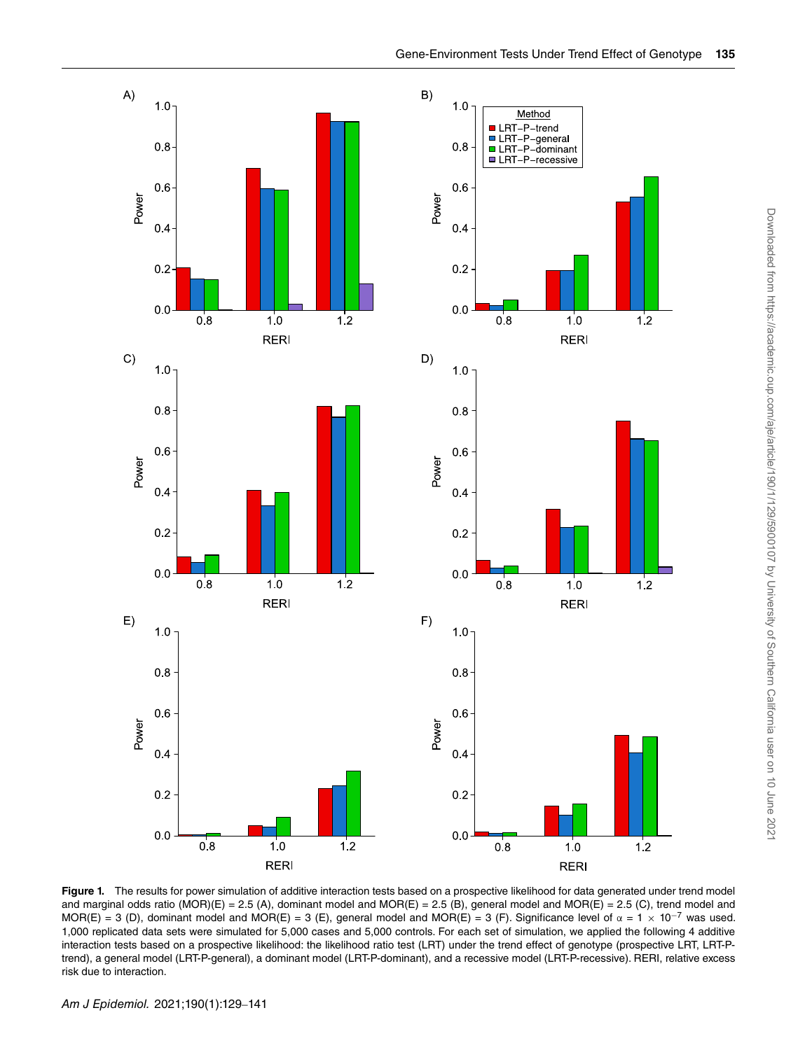

<span id="page-6-0"></span>Figure 1. The results for power simulation of additive interaction tests based on a prospective likelihood for data generated under trend model and marginal odds ratio (MOR)(E) = 2.5 (A), dominant model and MOR(E) = 2.5 (B), general model and MOR(E) = 2.5 (C), trend model and MOR(E) = 3 (D), dominant model and MOR(E) = 3 (E), general model and MOR(E) = 3 (F). Significance level of  $\alpha = 1 \times 10^{-7}$  was used. 1,000 replicated data sets were simulated for 5,000 cases and 5,000 controls. For each set of simulation, we applied the following 4 additive interaction tests based on a prospective likelihood: the likelihood ratio test (LRT) under the trend effect of genotype (prospective LRT, LRT-Ptrend), a general model (LRT-P-general), a dominant model (LRT-P-dominant), and a recessive model (LRT-P-recessive). RERI, relative excess risk due to interaction.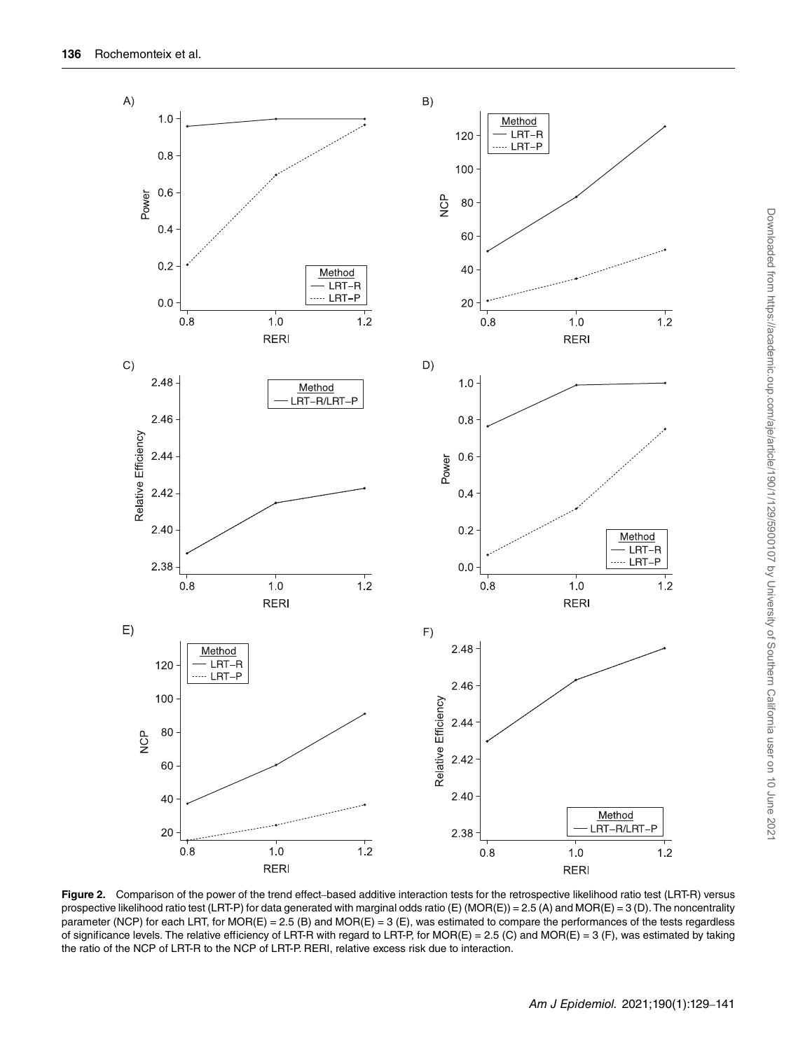

<span id="page-7-0"></span>Figure 2. Comparison of the power of the trend effect-based additive interaction tests for the retrospective likelihood ratio test (LRT-R) versus prospective likelihood ratio test (LRT-P) for data generated with marginal odds ratio (E) (MOR(E)) = 2.5 (A) and MOR(E) = 3 (D). The noncentrality parameter (NCP) for each LRT, for MOR(E) =  $2.5$  (B) and MOR(E) =  $3$  (E), was estimated to compare the performances of the tests regardless of significance levels. The relative efficiency of LRT-R with regard to LRT-P, for MOR(E) = 2.5 (C) and MOR(E) = 3 (F), was estimated by taking the ratio of the NCP of LRT-R to the NCP of LRT-P. RERI, relative excess risk due to interaction.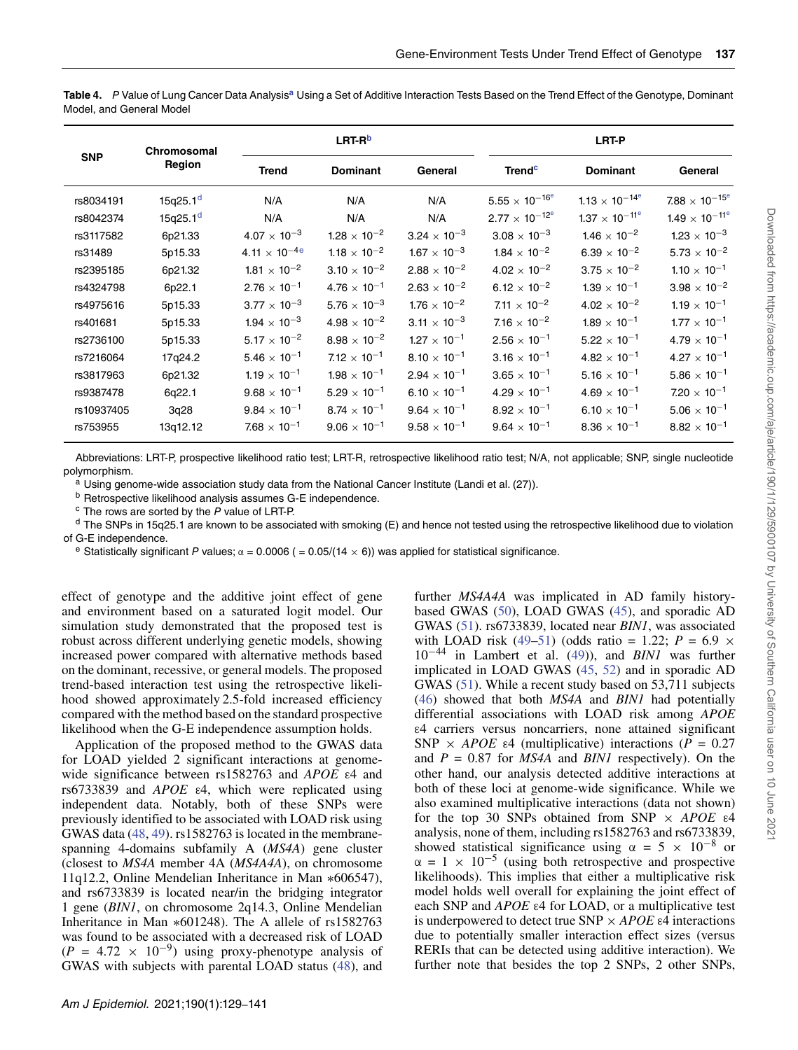<span id="page-8-0"></span>**Table 4.** P Value of Lung Cancer Data Analysis**<sup>a</sup>** Using a Set of Additive Interaction Tests Based on the Trend Effect of the Genotype, Dominant Model, and General Model

|            | Chromosomal          |                         | LRT-R <sup>b</sup>    |                       |                                     | LRT-P                               |                          |
|------------|----------------------|-------------------------|-----------------------|-----------------------|-------------------------------------|-------------------------------------|--------------------------|
| <b>SNP</b> | Region               | <b>Trend</b>            | <b>Dominant</b>       | General               | <b>Trend<sup>c</sup></b>            | <b>Dominant</b>                     | General                  |
| rs8034191  | 15q25.1 <sup>d</sup> | N/A                     | N/A                   | N/A                   | $5.55 \times 10^{-16}$ <sup>e</sup> | $1.13 \times 10^{-14}$ <sup>e</sup> | $7.88 \times 10^{-15^e}$ |
| rs8042374  | 15q25.1 <sup>d</sup> | N/A                     | N/A                   | N/A                   | $2.77 \times 10^{-12^e}$            | $1.37 \times 10^{-11^e}$            | $1.49 \times 10^{-11^e}$ |
| rs3117582  | 6p21.33              | $4.07 \times 10^{-3}$   | $1.28 \times 10^{-2}$ | $3.24 \times 10^{-3}$ | $3.08 \times 10^{-3}$               | $1.46 \times 10^{-2}$               | $1.23 \times 10^{-3}$    |
| rs31489    | 5p15.33              | $4.11 \times 10^{-4}$ e | $1.18 \times 10^{-2}$ | $1.67 \times 10^{-3}$ | $1.84 \times 10^{-2}$               | $6.39 \times 10^{-2}$               | $5.73 \times 10^{-2}$    |
| rs2395185  | 6p21.32              | $1.81 \times 10^{-2}$   | $3.10 \times 10^{-2}$ | $2.88 \times 10^{-2}$ | $4.02 \times 10^{-2}$               | $3.75 \times 10^{-2}$               | $1.10 \times 10^{-1}$    |
| rs4324798  | 6p22.1               | $2.76 \times 10^{-1}$   | $4.76 \times 10^{-1}$ | $2.63 \times 10^{-2}$ | $6.12 \times 10^{-2}$               | $1.39 \times 10^{-1}$               | $3.98\times10^{-2}$      |
| rs4975616  | 5p15.33              | $3.77 \times 10^{-3}$   | $5.76 \times 10^{-3}$ | $1.76 \times 10^{-2}$ | $7.11 \times 10^{-2}$               | $4.02 \times 10^{-2}$               | $1.19 \times 10^{-1}$    |
| rs401681   | 5p15.33              | $1.94 \times 10^{-3}$   | $4.98 \times 10^{-2}$ | $3.11 \times 10^{-3}$ | $7.16 \times 10^{-2}$               | $1.89 \times 10^{-1}$               | $1.77 \times 10^{-1}$    |
| rs2736100  | 5p15.33              | $5.17 \times 10^{-2}$   | $8.98 \times 10^{-2}$ | $1.27 \times 10^{-1}$ | $2.56 \times 10^{-1}$               | $5.22 \times 10^{-1}$               | $4.79 \times 10^{-1}$    |
| rs7216064  | 17q24.2              | $5.46 \times 10^{-1}$   | $7.12 \times 10^{-1}$ | $8.10 \times 10^{-1}$ | $3.16 \times 10^{-1}$               | $4.82 \times 10^{-1}$               | $4.27 \times 10^{-1}$    |
| rs3817963  | 6p21.32              | $1.19 \times 10^{-1}$   | $1.98 \times 10^{-1}$ | $2.94 \times 10^{-1}$ | $3.65 \times 10^{-1}$               | $5.16 \times 10^{-1}$               | $5.86 \times 10^{-1}$    |
| rs9387478  | 6q22.1               | $9.68 \times 10^{-1}$   | $5.29 \times 10^{-1}$ | $6.10 \times 10^{-1}$ | $4.29 \times 10^{-1}$               | $4.69 \times 10^{-1}$               | $7.20 \times 10^{-1}$    |
| rs10937405 | 3q28                 | $9.84 \times 10^{-1}$   | $8.74 \times 10^{-1}$ | $9.64 \times 10^{-1}$ | $8.92 \times 10^{-1}$               | $6.10 \times 10^{-1}$               | $5.06 \times 10^{-1}$    |
| rs753955   | 13q12.12             | $7.68 \times 10^{-1}$   | $9.06 \times 10^{-1}$ | $9.58 \times 10^{-1}$ | $9.64 \times 10^{-1}$               | $8.36 \times 10^{-1}$               | $8.82 \times 10^{-1}$    |

Abbreviations: LRT-P, prospective likelihood ratio test; LRT-R, retrospective likelihood ratio test; N/A, not applicable; SNP, single nucleotide polymorphism.

a Using genome-wide association study data from the National Cancer Institute (Landi et al. (27)).

**b** Retrospective likelihood analysis assumes G-E independence.

 $c$  The rows are sorted by the  $P$  value of LRT-P.

 $d$  The SNPs in 15q25.1 are known to be associated with smoking (E) and hence not tested using the retrospective likelihood due to violation of G-E independence.

<sup>e</sup> Statistically significant P values;  $\alpha$  = 0.0006 ( = 0.05/(14  $\times$  6)) was applied for statistical significance.

effect of genotype and the additive joint effect of gene and environment based on a saturated logit model. Our simulation study demonstrated that the proposed test is robust across different underlying genetic models, showing increased power compared with alternative methods based on the dominant, recessive, or general models. The proposed trend-based interaction test using the retrospective likelihood showed approximately 2.5-fold increased efficiency compared with the method based on the standard prospective likelihood when the G-E independence assumption holds.

Application of the proposed method to the GWAS data for LOAD yielded 2 significant interactions at genomewide significance between rs1582763 and *APOE* ε4 and rs6733839 and *APOE* ε4, which were replicated using independent data. Notably, both of these SNPs were previously identified to be associated with LOAD risk using GWAS data [\(48,](#page-12-13) [49\)](#page-12-14). rs1582763 is located in the membranespanning 4-domains subfamily A (*MS4A*) gene cluster (closest to *MS4A* member 4A (*MS4A4A*), on chromosome 11q12.2, Online Mendelian Inheritance in Man ∗606547), and rs6733839 is located near/in the bridging integrator 1 gene (*BIN1*, on chromosome 2q14.3, Online Mendelian Inheritance in Man ∗601248). The A allele of rs1582763 was found to be associated with a decreased risk of LOAD  $(P = 4.72 \times 10^{-9})$  using proxy-phenotype analysis of GWAS with subjects with parental LOAD status [\(48\)](#page-12-13), and

further *MS4A4A* was implicated in AD family historybased GWAS [\(50\)](#page-12-15), LOAD GWAS [\(45\)](#page-12-10), and sporadic AD GWAS [\(51\)](#page-12-16). rs6733839, located near *BIN1*, was associated with LOAD risk [\(49](#page-12-14)[–51\)](#page-12-16) (odds ratio = 1.22;  $P = 6.9 \times$ 10−<sup>44</sup> in Lambert et al. [\(49\)](#page-12-14)), and *BIN1* was further implicated in LOAD GWAS [\(45,](#page-12-10) [52\)](#page-12-17) and in sporadic AD GWAS [\(51\)](#page-12-16). While a recent study based on 53,711 subjects [\(46\)](#page-12-11) showed that both *MS4A* and *BIN1* had potentially differential associations with LOAD risk among *APOE* ε4 carriers versus noncarriers, none attained significant SNP  $\times$  *APOE* ε4 (multiplicative) interactions ( $P = 0.27$ ) and *P* = 0.87 for *MS4A* and *BIN1* respectively). On the other hand, our analysis detected additive interactions at both of these loci at genome-wide significance. While we also examined multiplicative interactions (data not shown) for the top 30 SNPs obtained from SNP × *APOE* ε4 analysis, none of them, including rs1582763 and rs6733839, showed statistical significance using  $\alpha = 5 \times 10^{-8}$  or  $\alpha = 1 \times 10^{-5}$  (using both retrospective and prospective likelihoods). This implies that either a multiplicative risk model holds well overall for explaining the joint effect of each SNP and *APOE* ε4 for LOAD, or a multiplicative test is underpowered to detect true SNP × *APOE* ε4 interactions due to potentially smaller interaction effect sizes (versus RERIs that can be detected using additive interaction). We further note that besides the top 2 SNPs, 2 other SNPs,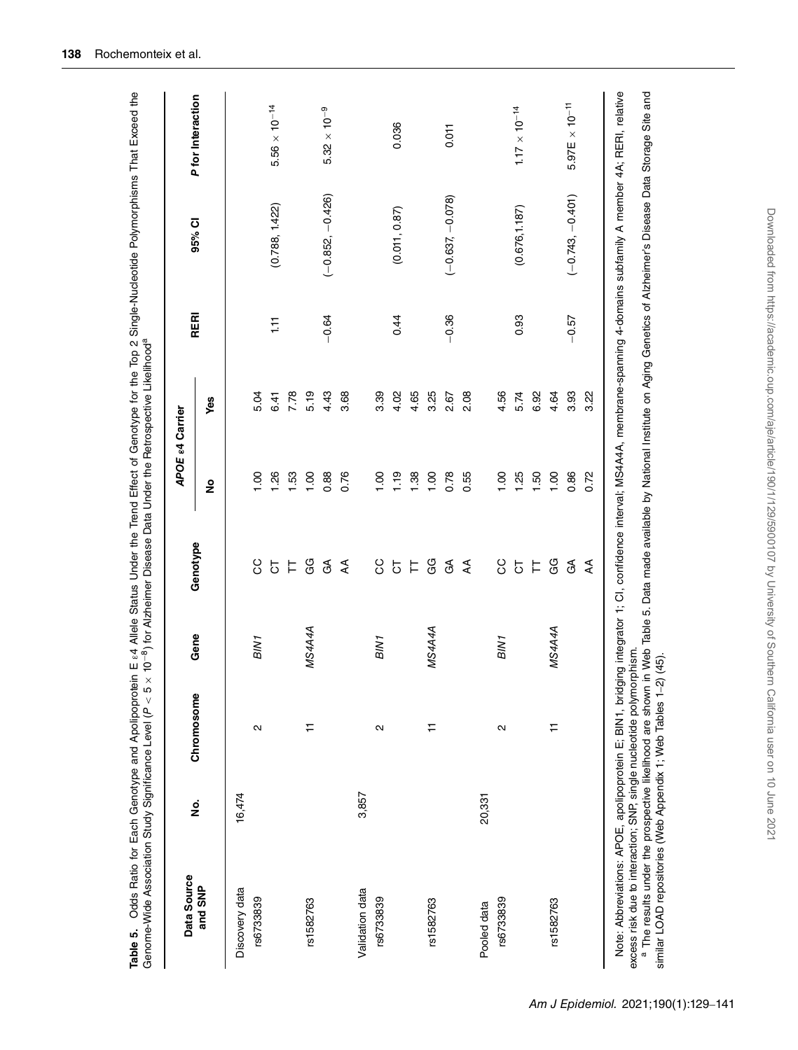| Data Source     |               |                   |                  |                | <b>APOE &amp;4 Carrier</b> |      |         |                    |                         |
|-----------------|---------------|-------------------|------------------|----------------|----------------------------|------|---------|--------------------|-------------------------|
| and SNP         | $\frac{1}{2}$ | Chromosome        | Gene             | Genotype       | $\frac{1}{2}$              | Yes  | RERI    | 95% CI             | P for Interaction       |
| Discovery data  | 16,474        |                   |                  |                |                            |      |         |                    |                         |
| rs6733839       |               | $\mathbf{\Omega}$ | BIN <sub>1</sub> | ပ္ပ            | 0.1                        | 5.04 |         |                    |                         |
|                 |               |                   |                  | 5              | 1.26                       | 6.41 | 111     | (0.788, 1.422)     | $5.56 \times 10^{-14}$  |
|                 |               |                   |                  | 片              | 1.53                       | 7.78 |         |                    |                         |
| rs1582763       |               | ₽                 | MS4A4A           | GG             | 1.00                       | 5.19 |         |                    |                         |
|                 |               |                   |                  | $\mathfrak{S}$ | 0.88                       | 4.43 | $-0.64$ | $(-0.852, -0.426)$ | $\sim 10^{-9}$<br>5.32  |
|                 |               |                   |                  | ₹              | 0.76                       | 3.68 |         |                    |                         |
| Validation data | 3,857         |                   |                  |                |                            |      |         |                    |                         |
| rs6733839       |               | $\mathbf{\Omega}$ | BIN <sub>1</sub> | ပ္ပ            | 1.00                       | 3.39 |         |                    |                         |
|                 |               |                   |                  | $\overline{5}$ | 1.19                       | 4.02 | 0.44    | (0.011, 0.87)      | 0.036                   |
|                 |               |                   |                  | 片              | 1.38                       | 4.65 |         |                    |                         |
| rs1582763       |               | Ε                 | MS4A4A           | GG             | 1.00                       | 3.25 |         |                    |                         |
|                 |               |                   |                  | $\mathfrak{F}$ | 0.78                       | 2.67 | $-0.36$ | $(-0.637, -0.078)$ | 0.011                   |
|                 |               |                   |                  | ₹              | 0.55                       | 2.08 |         |                    |                         |
| Pooled data     | 20,331        |                   |                  |                |                            |      |         |                    |                         |
| rs6733839       |               | $\mathbf{\Omega}$ | BIN <sub>1</sub> | ပ္ပ            | $\frac{8}{1}$              | 4.56 |         |                    |                         |
|                 |               |                   |                  | $\overline{5}$ | 1.25                       | 5.74 | 0.93    | (0.676, 1.187)     | $1.17 \times 10^{-14}$  |
|                 |               |                   |                  | 片              | 1.50                       | 6.92 |         |                    |                         |
| rs1582763       |               | ₣                 | MS4A4A           | GG             | 00.1                       | 4.64 |         |                    |                         |
|                 |               |                   |                  | $\mathfrak{F}$ | 0.86                       | 3.93 | $-0.57$ | $(-0.743, -0.401)$ | $5.97E \times 10^{-11}$ |
|                 |               |                   |                  | ₹              | 0.72                       | 3.22 |         |                    |                         |

<span id="page-9-0"></span>Table 5. Odds Ratio for Each Genotype and Apolipoprotein E <sup>e.4</sup> Allele Status Under the Trend Effect of Genotype for the Top 2 Single-Nucleotide Polymorphisms That Exceed the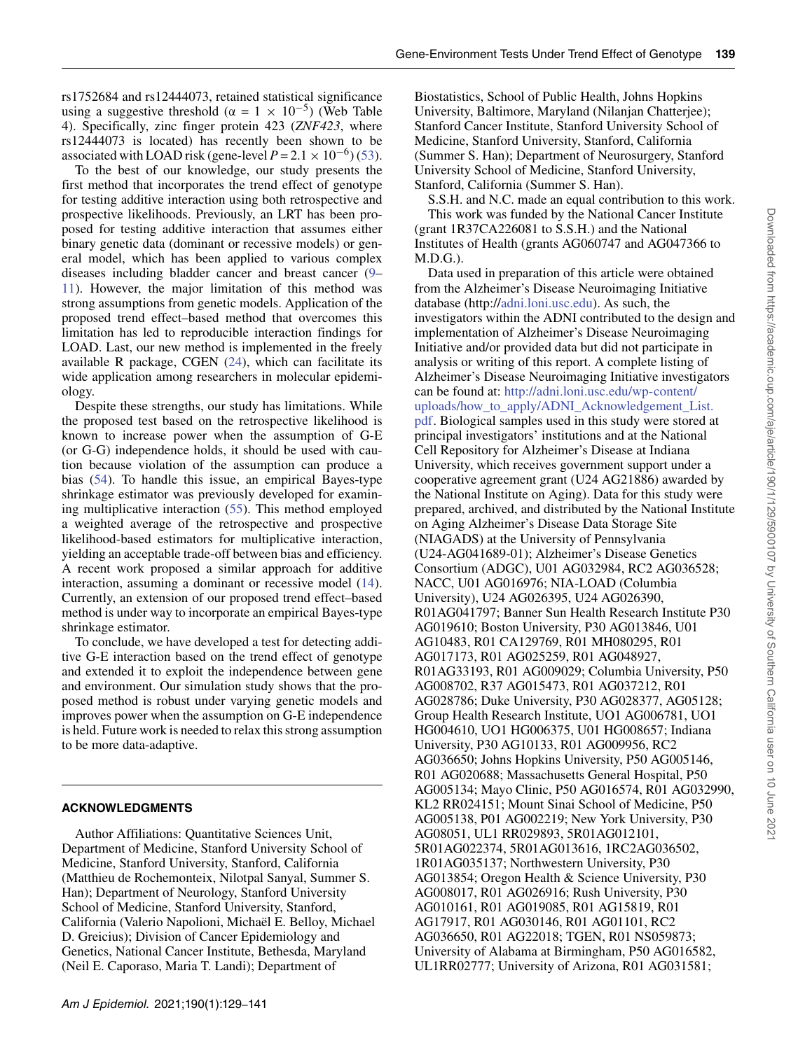rs1752684 and rs12444073, retained statistical significance using a suggestive threshold ( $\alpha = 1 \times 10^{-5}$ ) (Web Table 4). Specifically, zinc finger protein 423 (*ZNF423*, where rs12444073 is located) has recently been shown to be associated with LOAD risk (gene-level  $P = 2.1 \times 10^{-6}$ ) [\(53\)](#page-12-18).

To the best of our knowledge, our study presents the first method that incorporates the trend effect of genotype for testing additive interaction using both retrospective and prospective likelihoods. Previously, an LRT has been proposed for testing additive interaction that assumes either binary genetic data (dominant or recessive models) or general model, which has been applied to various complex diseases including bladder cancer and breast cancer [\(9–](#page-11-7) [11\)](#page-11-8). However, the major limitation of this method was strong assumptions from genetic models. Application of the proposed trend effect–based method that overcomes this limitation has led to reproducible interaction findings for LOAD. Last, our new method is implemented in the freely available R package, CGEN [\(24\)](#page-11-19), which can facilitate its wide application among researchers in molecular epidemiology.

Despite these strengths, our study has limitations. While the proposed test based on the retrospective likelihood is known to increase power when the assumption of G-E (or G-G) independence holds, it should be used with caution because violation of the assumption can produce a bias [\(54\)](#page-12-19). To handle this issue, an empirical Bayes-type shrinkage estimator was previously developed for examining multiplicative interaction [\(55\)](#page-12-20). This method employed a weighted average of the retrospective and prospective likelihood-based estimators for multiplicative interaction, yielding an acceptable trade-off between bias and efficiency. A recent work proposed a similar approach for additive interaction, assuming a dominant or recessive model [\(14\)](#page-11-14). Currently, an extension of our proposed trend effect–based method is under way to incorporate an empirical Bayes-type shrinkage estimator.

To conclude, we have developed a test for detecting additive G-E interaction based on the trend effect of genotype and extended it to exploit the independence between gene and environment. Our simulation study shows that the proposed method is robust under varying genetic models and improves power when the assumption on G-E independence is held. Future work is needed to relax this strong assumption to be more data-adaptive.

## **ACKNOWLEDGMENTS**

Author Affiliations: Quantitative Sciences Unit, Department of Medicine, Stanford University School of Medicine, Stanford University, Stanford, California (Matthieu de Rochemonteix, Nilotpal Sanyal, Summer S. Han); Department of Neurology, Stanford University School of Medicine, Stanford University, Stanford, California (Valerio Napolioni, Michaël E. Belloy, Michael D. Greicius); Division of Cancer Epidemiology and Genetics, National Cancer Institute, Bethesda, Maryland (Neil E. Caporaso, Maria T. Landi); Department of

Biostatistics, School of Public Health, Johns Hopkins University, Baltimore, Maryland (Nilanjan Chatterjee); Stanford Cancer Institute, Stanford University School of Medicine, Stanford University, Stanford, California (Summer S. Han); Department of Neurosurgery, Stanford University School of Medicine, Stanford University, Stanford, California (Summer S. Han).

S.S.H. and N.C. made an equal contribution to this work.

This work was funded by the National Cancer Institute (grant 1R37CA226081 to S.S.H.) and the National Institutes of Health (grants AG060747 and AG047366 to M.D.G.).

Data used in preparation of this article were obtained from the Alzheimer's Disease Neuroimaging Initiative database (http:/[/adni.loni.usc.edu\)](adni.loni.usc.edu). As such, the investigators within the ADNI contributed to the design and implementation of Alzheimer's Disease Neuroimaging Initiative and/or provided data but did not participate in analysis or writing of this report. A complete listing of Alzheimer's Disease Neuroimaging Initiative investigators can be found at: [http://adni.loni.usc.edu/wp-content/](http://adni.loni.usc.edu/wp-content/uploads/how_to_apply/ADNI_Acknowledgement_List.pdf) [uploads/how\\_to\\_apply/ADNI\\_Acknowledgement\\_List.](http://adni.loni.usc.edu/wp-content/uploads/how_to_apply/ADNI_Acknowledgement_List.pdf) [pdf.](http://adni.loni.usc.edu/wp-content/uploads/how_to_apply/ADNI_Acknowledgement_List.pdf) Biological samples used in this study were stored at principal investigators' institutions and at the National Cell Repository for Alzheimer's Disease at Indiana University, which receives government support under a cooperative agreement grant (U24 AG21886) awarded by the National Institute on Aging). Data for this study were prepared, archived, and distributed by the National Institute on Aging Alzheimer's Disease Data Storage Site (NIAGADS) at the University of Pennsylvania (U24-AG041689-01); Alzheimer's Disease Genetics Consortium (ADGC), U01 AG032984, RC2 AG036528; NACC, U01 AG016976; NIA-LOAD (Columbia University), U24 AG026395, U24 AG026390, R01AG041797; Banner Sun Health Research Institute P30 AG019610; Boston University, P30 AG013846, U01 AG10483, R01 CA129769, R01 MH080295, R01 AG017173, R01 AG025259, R01 AG048927, R01AG33193, R01 AG009029; Columbia University, P50 AG008702, R37 AG015473, R01 AG037212, R01 AG028786; Duke University, P30 AG028377, AG05128; Group Health Research Institute, UO1 AG006781, UO1 HG004610, UO1 HG006375, U01 HG008657; Indiana University, P30 AG10133, R01 AG009956, RC2 AG036650; Johns Hopkins University, P50 AG005146, R01 AG020688; Massachusetts General Hospital, P50 AG005134; Mayo Clinic, P50 AG016574, R01 AG032990, KL2 RR024151; Mount Sinai School of Medicine, P50 AG005138, P01 AG002219; New York University, P30 AG08051, UL1 RR029893, 5R01AG012101, 5R01AG022374, 5R01AG013616, 1RC2AG036502, 1R01AG035137; Northwestern University, P30 AG013854; Oregon Health & Science University, P30 AG008017, R01 AG026916; Rush University, P30 AG010161, R01 AG019085, R01 AG15819, R01 AG17917, R01 AG030146, R01 AG01101, RC2 AG036650, R01 AG22018; TGEN, R01 NS059873; University of Alabama at Birmingham, P50 AG016582, UL1RR02777; University of Arizona, R01 AG031581;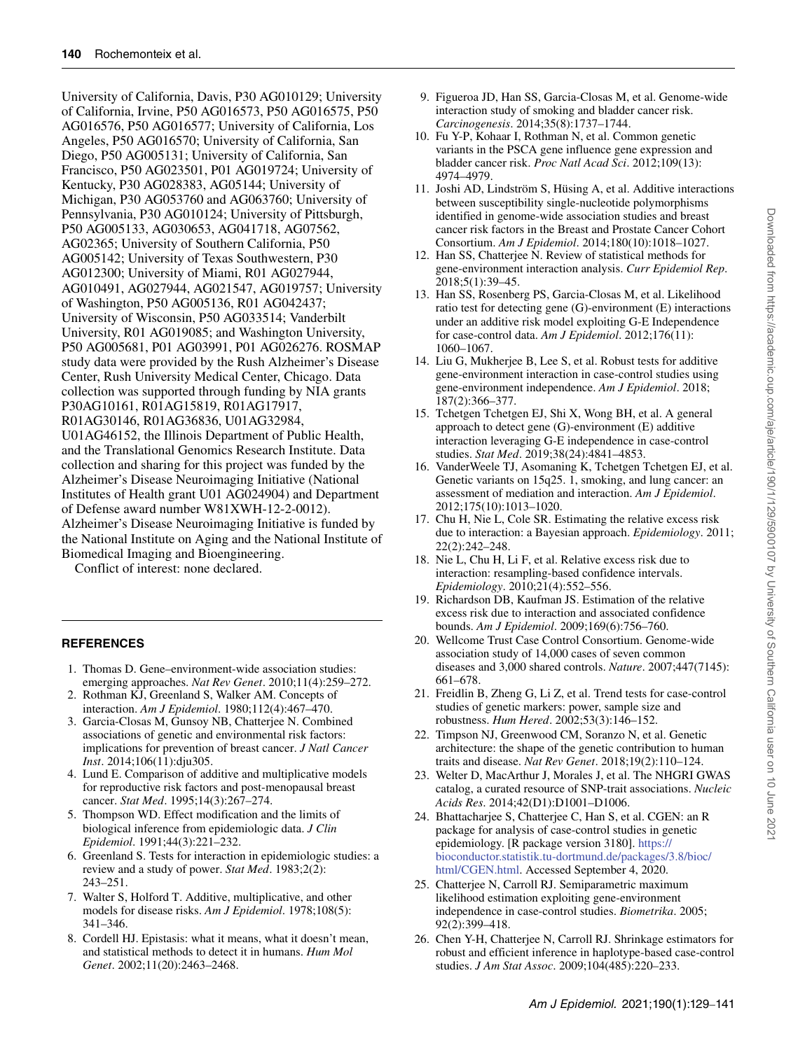University of California, Davis, P30 AG010129; University of California, Irvine, P50 AG016573, P50 AG016575, P50 AG016576, P50 AG016577; University of California, Los Angeles, P50 AG016570; University of California, San Diego, P50 AG005131; University of California, San Francisco, P50 AG023501, P01 AG019724; University of Kentucky, P30 AG028383, AG05144; University of Michigan, P30 AG053760 and AG063760; University of Pennsylvania, P30 AG010124; University of Pittsburgh, P50 AG005133, AG030653, AG041718, AG07562, AG02365; University of Southern California, P50 AG005142; University of Texas Southwestern, P30 AG012300; University of Miami, R01 AG027944, AG010491, AG027944, AG021547, AG019757; University of Washington, P50 AG005136, R01 AG042437; University of Wisconsin, P50 AG033514; Vanderbilt University, R01 AG019085; and Washington University, P50 AG005681, P01 AG03991, P01 AG026276. ROSMAP study data were provided by the Rush Alzheimer's Disease Center, Rush University Medical Center, Chicago. Data collection was supported through funding by NIA grants P30AG10161, R01AG15819, R01AG17917, R01AG30146, R01AG36836, U01AG32984, U01AG46152, the Illinois Department of Public Health, and the Translational Genomics Research Institute. Data collection and sharing for this project was funded by the Alzheimer's Disease Neuroimaging Initiative (National Institutes of Health grant U01 AG024904) and Department of Defense award number W81XWH-12-2-0012). Alzheimer's Disease Neuroimaging Initiative is funded by the National Institute on Aging and the National Institute of Biomedical Imaging and Bioengineering.

Conflict of interest: none declared.

## **REFERENCES**

- <span id="page-11-0"></span>1. Thomas D. Gene–environment-wide association studies: emerging approaches. *Nat Rev Genet*. 2010;11(4):259–272.
- <span id="page-11-1"></span>2. Rothman KJ, Greenland S, Walker AM. Concepts of interaction. *Am J Epidemiol*. 1980;112(4):467–470.
- <span id="page-11-2"></span>3. Garcia-Closas M, Gunsoy NB, Chatterjee N. Combined associations of genetic and environmental risk factors: implications for prevention of breast cancer. *J Natl Cancer Inst*. 2014;106(11):dju305.
- 4. Lund E. Comparison of additive and multiplicative models for reproductive risk factors and post-menopausal breast cancer. *Stat Med*. 1995;14(3):267–274.
- <span id="page-11-3"></span>5. Thompson WD. Effect modification and the limits of biological inference from epidemiologic data. *J Clin Epidemiol*. 1991;44(3):221–232.
- <span id="page-11-4"></span>6. Greenland S. Tests for interaction in epidemiologic studies: a review and a study of power. *Stat Med*. 1983;2(2): 243–251.
- <span id="page-11-5"></span>7. Walter S, Holford T. Additive, multiplicative, and other models for disease risks. *Am J Epidemiol*. 1978;108(5): 341–346.
- <span id="page-11-6"></span>8. Cordell HJ. Epistasis: what it means, what it doesn't mean, and statistical methods to detect it in humans. *Hum Mol Genet*. 2002;11(20):2463–2468.
- <span id="page-11-7"></span>9. Figueroa JD, Han SS, Garcia-Closas M, et al. Genome-wide interaction study of smoking and bladder cancer risk. *Carcinogenesis*. 2014;35(8):1737–1744.
- 10. Fu Y-P, Kohaar I, Rothman N, et al. Common genetic variants in the PSCA gene influence gene expression and bladder cancer risk. *Proc Natl Acad Sci*. 2012;109(13): 4974–4979.
- <span id="page-11-8"></span>11. Joshi AD, Lindström S, Hüsing A, et al. Additive interactions between susceptibility single-nucleotide polymorphisms identified in genome-wide association studies and breast cancer risk factors in the Breast and Prostate Cancer Cohort Consortium. *Am J Epidemiol*. 2014;180(10):1018–1027.
- <span id="page-11-9"></span>12. Han SS, Chatterjee N. Review of statistical methods for gene-environment interaction analysis. *Curr Epidemiol Rep*. 2018;5(1):39–45.
- <span id="page-11-13"></span>13. Han SS, Rosenberg PS, Garcia-Closas M, et al. Likelihood ratio test for detecting gene (G)-environment (E) interactions under an additive risk model exploiting G-E Independence for case-control data. *Am J Epidemiol*. 2012;176(11): 1060–1067.
- <span id="page-11-14"></span>14. Liu G, Mukherjee B, Lee S, et al. Robust tests for additive gene-environment interaction in case-control studies using gene-environment independence. *Am J Epidemiol*. 2018; 187(2):366–377.
- 15. Tchetgen Tchetgen EJ, Shi X, Wong BH, et al. A general approach to detect gene (G)-environment (E) additive interaction leveraging G-E independence in case-control studies. *Stat Med*. 2019;38(24):4841–4853.
- <span id="page-11-10"></span>16. VanderWeele TJ, Asomaning K, Tchetgen Tchetgen EJ, et al. Genetic variants on 15q25. 1, smoking, and lung cancer: an assessment of mediation and interaction. *Am J Epidemiol*. 2012;175(10):1013–1020.
- <span id="page-11-11"></span>17. Chu H, Nie L, Cole SR. Estimating the relative excess risk due to interaction: a Bayesian approach. *Epidemiology*. 2011; 22(2):242–248.
- 18. Nie L, Chu H, Li F, et al. Relative excess risk due to interaction: resampling-based confidence intervals. *Epidemiology*. 2010;21(4):552–556.
- <span id="page-11-12"></span>19. Richardson DB, Kaufman JS. Estimation of the relative excess risk due to interaction and associated confidence bounds. *Am J Epidemiol*. 2009;169(6):756–760.
- <span id="page-11-15"></span>20. Wellcome Trust Case Control Consortium. Genome-wide association study of 14,000 cases of seven common diseases and 3,000 shared controls. *Nature*. 2007;447(7145): 661–678.
- <span id="page-11-16"></span>21. Freidlin B, Zheng G, Li Z, et al. Trend tests for case-control studies of genetic markers: power, sample size and robustness. *Hum Hered*. 2002;53(3):146–152.
- <span id="page-11-17"></span>22. Timpson NJ, Greenwood CM, Soranzo N, et al. Genetic architecture: the shape of the genetic contribution to human traits and disease. *Nat Rev Genet*. 2018;19(2):110–124.
- <span id="page-11-18"></span>23. Welter D, MacArthur J, Morales J, et al. The NHGRI GWAS catalog, a curated resource of SNP-trait associations. *Nucleic Acids Res*. 2014;42(D1):D1001–D1006.
- <span id="page-11-19"></span>24. Bhattacharjee S, Chatterjee C, Han S, et al. CGEN: an R package for analysis of case-control studies in genetic epidemiology. [R package version 3180]. https:// [bioconductor.statistik.tu-dortmund.de/packages/3.8/bioc/](https://bioconductor.statistik.tu-dortmund.de/packages/3.8/bioc/html/CGEN.html) html/CGEN.html. Accessed September 4, 2020.
- <span id="page-11-20"></span>25. Chatterjee N, Carroll RJ. Semiparametric maximum likelihood estimation exploiting gene-environment independence in case-control studies. *Biometrika*. 2005; 92(2):399–418.
- <span id="page-11-21"></span>26. Chen Y-H, Chatterjee N, Carroll RJ. Shrinkage estimators for robust and efficient inference in haplotype-based case-control studies. *J Am Stat Assoc*. 2009;104(485):220–233.